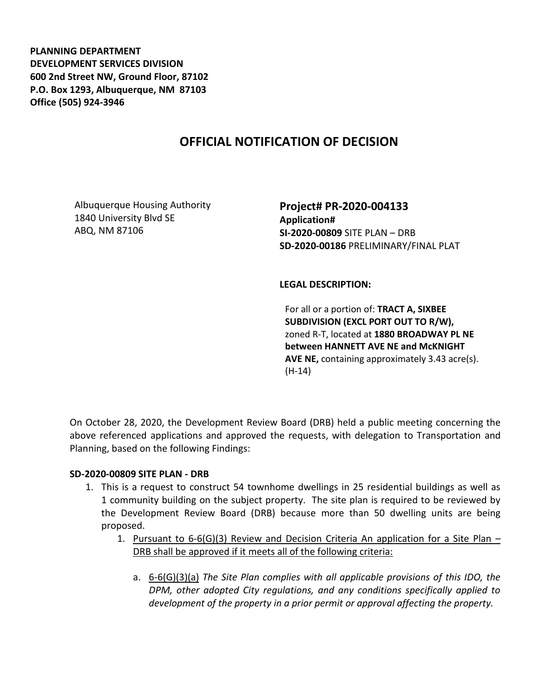**PLANNING DEPARTMENT DEVELOPMENT SERVICES DIVISION 600 2nd Street NW, Ground Floor, 87102 P.O. Box 1293, Albuquerque, NM 87103 Office (505) 924-3946** 

# **OFFICIAL NOTIFICATION OF DECISION**

Albuquerque Housing Authority 1840 University Blvd SE ABQ, NM 87106

**Project# PR-2020-004133 Application# SI-2020-00809** SITE PLAN – DRB **SD-2020-00186** PRELIMINARY/FINAL PLAT

**LEGAL DESCRIPTION:**

For all or a portion of: **TRACT A, SIXBEE SUBDIVISION (EXCL PORT OUT TO R/W),**  zoned R-T, located at **1880 BROADWAY PL NE between HANNETT AVE NE and McKNIGHT AVE NE,** containing approximately 3.43 acre(s). (H-14)

On October 28, 2020, the Development Review Board (DRB) held a public meeting concerning the above referenced applications and approved the requests, with delegation to Transportation and Planning, based on the following Findings:

### **SD-2020-00809 SITE PLAN - DRB**

- 1. This is a request to construct 54 townhome dwellings in 25 residential buildings as well as 1 community building on the subject property. The site plan is required to be reviewed by the Development Review Board (DRB) because more than 50 dwelling units are being proposed.
	- 1. Pursuant to  $6-6$ (G)(3) Review and Decision Criteria An application for a Site Plan DRB shall be approved if it meets all of the following criteria:
		- a. 6-6(G)(3)(a) *The Site Plan complies with all applicable provisions of this IDO, the DPM, other adopted City regulations, and any conditions specifically applied to development of the property in a prior permit or approval affecting the property.*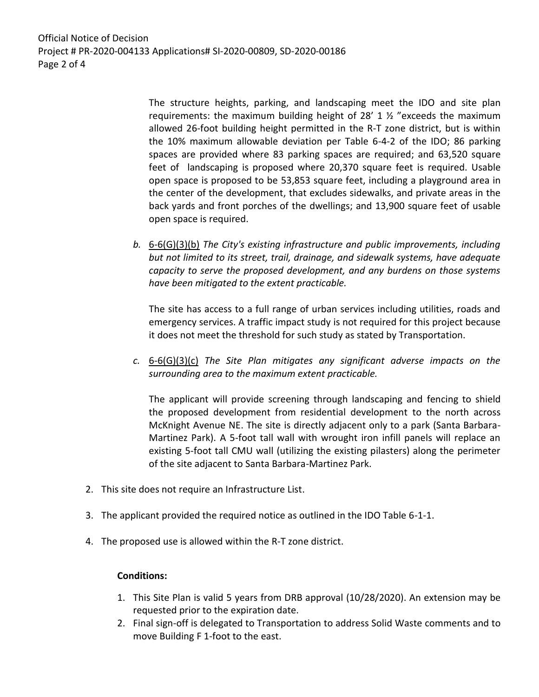Official Notice of Decision Project # PR-2020-004133 Applications# SI-2020-00809, SD-2020-00186 Page 2 of 4

> The structure heights, parking, and landscaping meet the IDO and site plan requirements: the maximum building height of  $28'$  1  $\frac{1}{2}$  "exceeds the maximum allowed 26-foot building height permitted in the R-T zone district, but is within the 10% maximum allowable deviation per Table 6-4-2 of the IDO; 86 parking spaces are provided where 83 parking spaces are required; and 63,520 square feet of landscaping is proposed where 20,370 square feet is required. Usable open space is proposed to be 53,853 square feet, including a playground area in the center of the development, that excludes sidewalks, and private areas in the back yards and front porches of the dwellings; and 13,900 square feet of usable open space is required.

*b.* 6-6(G)(3)(b) *The City's existing infrastructure and public improvements, including but not limited to its street, trail, drainage, and sidewalk systems, have adequate capacity to serve the proposed development, and any burdens on those systems have been mitigated to the extent practicable.* 

The site has access to a full range of urban services including utilities, roads and emergency services. A traffic impact study is not required for this project because it does not meet the threshold for such study as stated by Transportation.

*c.* 6-6(G)(3)(c) *The Site Plan mitigates any significant adverse impacts on the surrounding area to the maximum extent practicable.* 

The applicant will provide screening through landscaping and fencing to shield the proposed development from residential development to the north across McKnight Avenue NE. The site is directly adjacent only to a park (Santa Barbara-Martinez Park). A 5-foot tall wall with wrought iron infill panels will replace an existing 5-foot tall CMU wall (utilizing the existing pilasters) along the perimeter of the site adjacent to Santa Barbara-Martinez Park.

- 2. This site does not require an Infrastructure List.
- 3. The applicant provided the required notice as outlined in the IDO Table 6-1-1.
- 4. The proposed use is allowed within the R-T zone district.

#### **Conditions:**

- 1. This Site Plan is valid 5 years from DRB approval (10/28/2020). An extension may be requested prior to the expiration date.
- 2. Final sign-off is delegated to Transportation to address Solid Waste comments and to move Building F 1-foot to the east.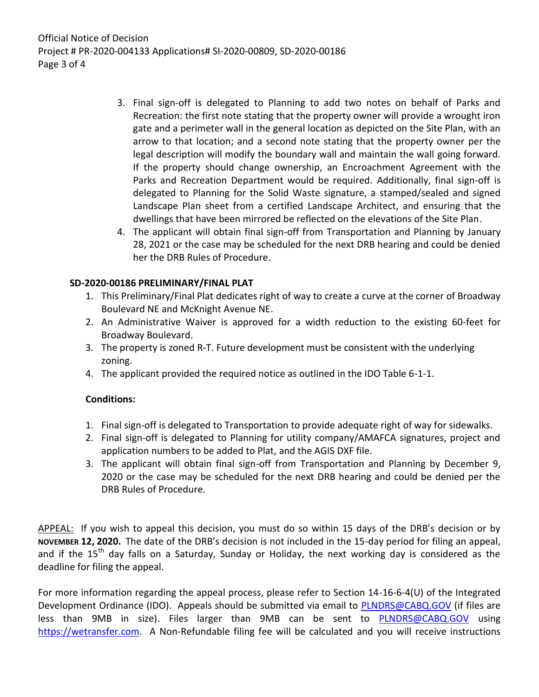Official Notice of Decision Project # PR-2020-004133 Applications# SI-2020-00809, SD-2020-00186 Page 3 of 4

- 3. Final sign-off is delegated to Planning to add two notes on behalf of Parks and Recreation: the first note stating that the property owner will provide a wrought iron gate and a perimeter wall in the general location as depicted on the Site Plan, with an arrow to that location; and a second note stating that the property owner per the legal description will modify the boundary wall and maintain the wall going forward. If the property should change ownership, an Encroachment Agreement with the Parks and Recreation Department would be required. Additionally, final sign-off is delegated to Planning for the Solid Waste signature, a stamped/sealed and signed Landscape Plan sheet from a certified Landscape Architect, and ensuring that the dwellings that have been mirrored be reflected on the elevations of the Site Plan.
- 4. The applicant will obtain final sign-off from Transportation and Planning by January 28, 2021 or the case may be scheduled for the next DRB hearing and could be denied her the DRB Rules of Procedure.

## **SD-2020-00186 PRELIMINARY/FINAL PLAT**

- 1. This Preliminary/Final Plat dedicates right of way to create a curve at the corner of Broadway Boulevard NE and McKnight Avenue NE.
- 2. An Administrative Waiver is approved for a width reduction to the existing 60-feet for Broadway Boulevard.
- 3. The property is zoned R-T. Future development must be consistent with the underlying zoning.
- 4. The applicant provided the required notice as outlined in the IDO Table 6-1-1.

## **Conditions:**

- 1. Final sign-off is delegated to Transportation to provide adequate right of way for sidewalks.
- 2. Final sign-off is delegated to Planning for utility company/AMAFCA signatures, project and application numbers to be added to Plat, and the AGIS DXF file.
- 3. The applicant will obtain final sign-off from Transportation and Planning by December 9, 2020 or the case may be scheduled for the next DRB hearing and could be denied per the DRB Rules of Procedure.

APPEAL: If you wish to appeal this decision, you must do so within 15 days of the DRB's decision or by **NOVEMBER 12, 2020.** The date of the DRB's decision is not included in the 15-day period for filing an appeal, and if the  $15<sup>th</sup>$  day falls on a Saturday, Sunday or Holiday, the next working day is considered as the deadline for filing the appeal.

For more information regarding the appeal process, please refer to Section 14-16-6-4(U) of the Integrated Development Ordinance (IDO). Appeals should be submitted via email to [PLNDRS@CABQ.GOV](mailto:PLNDRS@CABQ.GOV) (if files are less than 9MB in size). Files larger than 9MB can be sent to [PLNDRS@CABQ.GOV](mailto:PLNDRS@CABQ.GOV) using [https://wetransfer.com.](https://wetransfer.com/) A Non-Refundable filing fee will be calculated and you will receive instructions